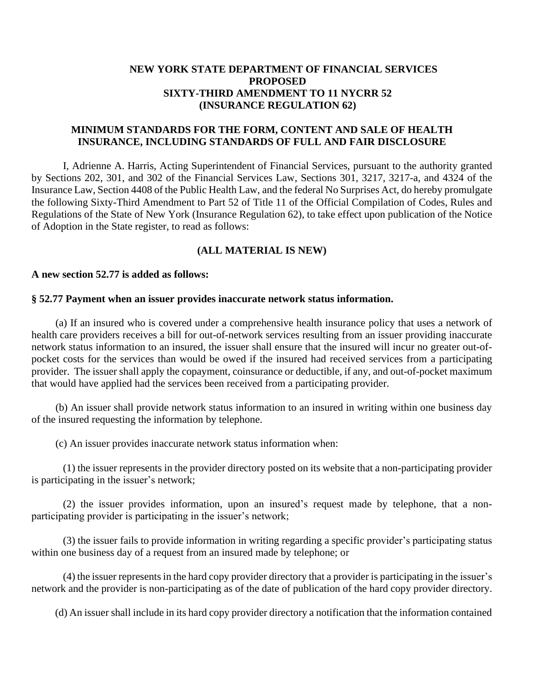# **NEW YORK STATE DEPARTMENT OF FINANCIAL SERVICES PROPOSED SIXTY-THIRD AMENDMENT TO 11 NYCRR 52 (INSURANCE REGULATION 62)**

# **MINIMUM STANDARDS FOR THE FORM, CONTENT AND SALE OF HEALTH INSURANCE, INCLUDING STANDARDS OF FULL AND FAIR DISCLOSURE**

I, Adrienne A. Harris, Acting Superintendent of Financial Services, pursuant to the authority granted by Sections 202, 301, and 302 of the Financial Services Law, Sections 301, 3217, 3217-a, and 4324 of the Insurance Law, Section 4408 of the Public Health Law, and the federal No Surprises Act, do hereby promulgate the following Sixty-Third Amendment to Part 52 of Title 11 of the Official Compilation of Codes, Rules and Regulations of the State of New York (Insurance Regulation 62), to take effect upon publication of the Notice of Adoption in the State register, to read as follows:

## **(ALL MATERIAL IS NEW)**

### **A new section 52.77 is added as follows:**

#### **§ 52.77 Payment when an issuer provides inaccurate network status information.**

(a) If an insured who is covered under a comprehensive health insurance policy that uses a network of health care providers receives a bill for out-of-network services resulting from an issuer providing inaccurate network status information to an insured, the issuer shall ensure that the insured will incur no greater out-ofpocket costs for the services than would be owed if the insured had received services from a participating provider. The issuer shall apply the copayment, coinsurance or deductible, if any, and out-of-pocket maximum that would have applied had the services been received from a participating provider.

(b) An issuer shall provide network status information to an insured in writing within one business day of the insured requesting the information by telephone.

(c) An issuer provides inaccurate network status information when:

(1) the issuer represents in the provider directory posted on its website that a non-participating provider is participating in the issuer's network;

(2) the issuer provides information, upon an insured's request made by telephone, that a nonparticipating provider is participating in the issuer's network;

(3) the issuer fails to provide information in writing regarding a specific provider's participating status within one business day of a request from an insured made by telephone; or

(4) the issuer representsin the hard copy provider directory that a provider is participating in the issuer's network and the provider is non-participating as of the date of publication of the hard copy provider directory.

(d) An issuer shall include in its hard copy provider directory a notification that the information contained